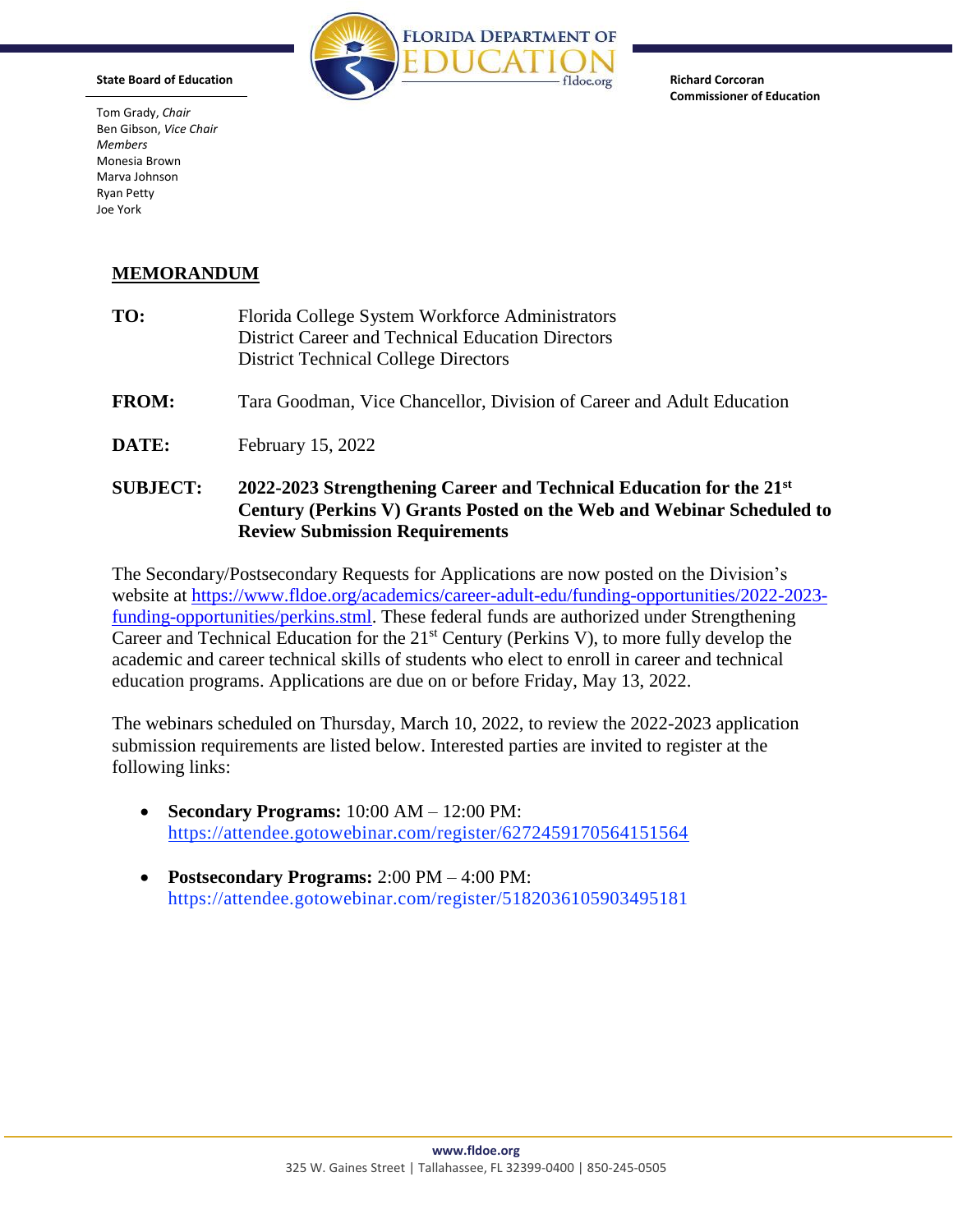

**Richard Corcoran Commissioner of Education** 

Tom Grady, *Chair* Ben Gibson, *Vice Chair Members*  Monesia Brown Marva Johnson Ryan Petty Joe York

**State Board of Education** 

## **MEMORANDUM**

| <b>SUBJECT:</b> | 2022-2023 Strengthening Career and Technical Education for the 21st<br>Century (Perkins V) Grants Posted on the Web and Webinar Scheduled to<br><b>Review Submission Requirements</b> |
|-----------------|---------------------------------------------------------------------------------------------------------------------------------------------------------------------------------------|
| DATE:           | February 15, 2022                                                                                                                                                                     |
| <b>FROM:</b>    | Tara Goodman, Vice Chancellor, Division of Career and Adult Education                                                                                                                 |
| TO:             | Florida College System Workforce Administrators<br><b>District Career and Technical Education Directors</b><br><b>District Technical College Directors</b>                            |

The Secondary/Postsecondary Requests for Applications are now posted on the Division's website at [https://www.fldoe.org/academics/career-adult-edu/funding-opportunities/2022-2023](https://www.fldoe.org/academics/career-adult-edu/funding-opportunities/2022-2023-funding-opportunities/perkins.stml) [funding-opportunities/perkins.stml.](https://www.fldoe.org/academics/career-adult-edu/funding-opportunities/2022-2023-funding-opportunities/perkins.stml) These federal funds are authorized under Strengthening Career and Technical Education for the 21<sup>st</sup> Century (Perkins V), to more fully develop the academic and career technical skills of students who elect to enroll in career and technical education programs. Applications are due on or before Friday, May 13, 2022.

The webinars scheduled on Thursday, March 10, 2022, to review the 2022-2023 application submission requirements are listed below. Interested parties are invited to register at the following links:

- **Secondary Programs:** 10:00 AM 12:00 PM: <https://attendee.gotowebinar.com/register/6272459170564151564>
- **Postsecondary Programs:** 2:00 PM 4:00 PM: <https://attendee.gotowebinar.com/register/5182036105903495181>